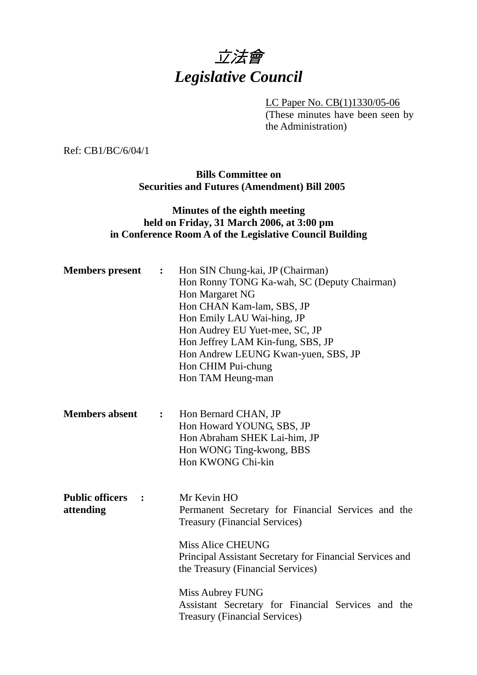

LC Paper No. CB(1)1330/05-06 (These minutes have been seen by the Administration)

Ref: CB1/BC/6/04/1

**Bills Committee on Securities and Futures (Amendment) Bill 2005** 

### **Minutes of the eighth meeting held on Friday, 31 March 2006, at 3:00 pm in Conference Room A of the Legislative Council Building**

| <b>Members</b> present                                | $\ddot{\cdot}$ | Hon SIN Chung-kai, JP (Chairman)<br>Hon Ronny TONG Ka-wah, SC (Deputy Chairman)<br>Hon Margaret NG<br>Hon CHAN Kam-lam, SBS, JP<br>Hon Emily LAU Wai-hing, JP<br>Hon Audrey EU Yuet-mee, SC, JP<br>Hon Jeffrey LAM Kin-fung, SBS, JP<br>Hon Andrew LEUNG Kwan-yuen, SBS, JP<br>Hon CHIM Pui-chung<br>Hon TAM Heung-man                                   |
|-------------------------------------------------------|----------------|----------------------------------------------------------------------------------------------------------------------------------------------------------------------------------------------------------------------------------------------------------------------------------------------------------------------------------------------------------|
| <b>Members absent</b>                                 | $\ddot{\cdot}$ | Hon Bernard CHAN, JP<br>Hon Howard YOUNG, SBS, JP<br>Hon Abraham SHEK Lai-him, JP<br>Hon WONG Ting-kwong, BBS<br>Hon KWONG Chi-kin                                                                                                                                                                                                                       |
| <b>Public officers</b><br>$\ddot{\cdot}$<br>attending |                | Mr Kevin HO<br>Permanent Secretary for Financial Services and the<br><b>Treasury (Financial Services)</b><br><b>Miss Alice CHEUNG</b><br>Principal Assistant Secretary for Financial Services and<br>the Treasury (Financial Services)<br>Miss Aubrey FUNG<br>Assistant Secretary for Financial Services and the<br><b>Treasury (Financial Services)</b> |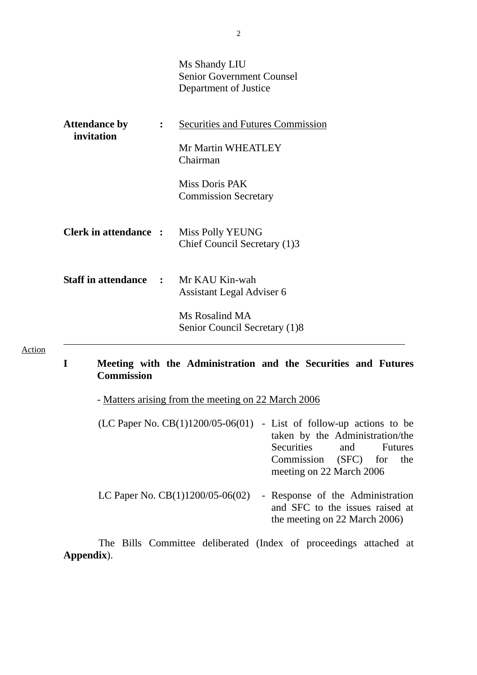|                              | Ms Shandy LIU<br><b>Senior Government Counsel</b><br>Department of Justice |
|------------------------------|----------------------------------------------------------------------------|
|                              | <b>Securities and Futures Commission</b>                                   |
|                              | Mr Martin WHEATLEY<br>Chairman                                             |
|                              | Miss Doris PAK<br><b>Commission Secretary</b>                              |
| <b>Clerk in attendance :</b> | Miss Polly YEUNG<br>Chief Council Secretary (1)3                           |
| $\mathcal{L} = \mathcal{L}$  | Mr KAU Kin-wah<br>Assistant Legal Adviser 6                                |
|                              | Ms Rosalind MA<br>Senior Council Secretary (1)8                            |
|                              |                                                                            |

# **I Meeting with the Administration and the Securities and Futures Commission**

- Matters arising from the meeting on 22 March 2006

Action

| (LC Paper No. $CB(1)1200/05-06(01)$ - List of follow-up actions to be | taken by the Administration/the                                     |  |
|-----------------------------------------------------------------------|---------------------------------------------------------------------|--|
|                                                                       | Securities and Futures                                              |  |
|                                                                       | Commission (SFC) for the                                            |  |
|                                                                       | meeting on 22 March 2006                                            |  |
| LC Paper No. $CB(1)1200/05-06(02)$                                    | - Response of the Administration<br>and SFC to the issues raised at |  |
|                                                                       | the meeting on 22 March 2006)                                       |  |

1. The Bills Committee deliberated (Index of proceedings attached at **Appendix**).

2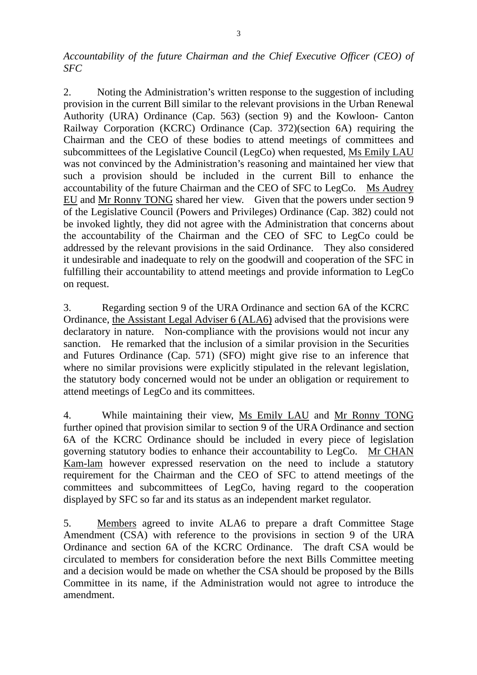*Accountability of the future Chairman and the Chief Executive Officer (CEO) of SFC* 

2. Noting the Administration's written response to the suggestion of including provision in the current Bill similar to the relevant provisions in the Urban Renewal Authority (URA) Ordinance (Cap. 563) (section 9) and the Kowloon- Canton Railway Corporation (KCRC) Ordinance (Cap. 372)(section 6A) requiring the Chairman and the CEO of these bodies to attend meetings of committees and subcommittees of the Legislative Council (LegCo) when requested, Ms Emily LAU was not convinced by the Administration's reasoning and maintained her view that such a provision should be included in the current Bill to enhance the accountability of the future Chairman and the CEO of SFC to LegCo. Ms Audrey EU and Mr Ronny TONG shared her view. Given that the powers under section 9 of the Legislative Council (Powers and Privileges) Ordinance (Cap. 382) could not be invoked lightly, they did not agree with the Administration that concerns about the accountability of the Chairman and the CEO of SFC to LegCo could be addressed by the relevant provisions in the said Ordinance. They also considered it undesirable and inadequate to rely on the goodwill and cooperation of the SFC in fulfilling their accountability to attend meetings and provide information to LegCo on request.

3. Regarding section 9 of the URA Ordinance and section 6A of the KCRC Ordinance, the Assistant Legal Adviser 6 (ALA6) advised that the provisions were declaratory in nature. Non-compliance with the provisions would not incur any sanction. He remarked that the inclusion of a similar provision in the Securities and Futures Ordinance (Cap. 571) (SFO) might give rise to an inference that where no similar provisions were explicitly stipulated in the relevant legislation, the statutory body concerned would not be under an obligation or requirement to attend meetings of LegCo and its committees.

4. While maintaining their view, Ms Emily LAU and Mr Ronny TONG further opined that provision similar to section 9 of the URA Ordinance and section 6A of the KCRC Ordinance should be included in every piece of legislation governing statutory bodies to enhance their accountability to LegCo. Mr CHAN Kam-lam however expressed reservation on the need to include a statutory requirement for the Chairman and the CEO of SFC to attend meetings of the committees and subcommittees of LegCo, having regard to the cooperation displayed by SFC so far and its status as an independent market regulator.

5. Members agreed to invite ALA6 to prepare a draft Committee Stage Amendment (CSA) with reference to the provisions in section 9 of the URA Ordinance and section 6A of the KCRC Ordinance. The draft CSA would be circulated to members for consideration before the next Bills Committee meeting and a decision would be made on whether the CSA should be proposed by the Bills Committee in its name, if the Administration would not agree to introduce the amendment.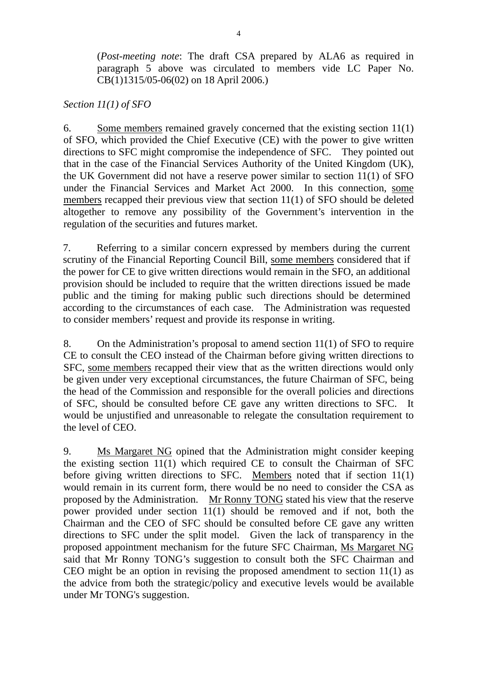(*Post-meeting note*: The draft CSA prepared by ALA6 as required in paragraph 5 above was circulated to members vide LC Paper No. CB(1)1315/05-06(02) on 18 April 2006.)

# *Section 11(1) of SFO*

6. Some members remained gravely concerned that the existing section 11(1) of SFO, which provided the Chief Executive (CE) with the power to give written directions to SFC might compromise the independence of SFC. They pointed out that in the case of the Financial Services Authority of the United Kingdom (UK), the UK Government did not have a reserve power similar to section 11(1) of SFO under the Financial Services and Market Act 2000. In this connection, some members recapped their previous view that section 11(1) of SFO should be deleted altogether to remove any possibility of the Government's intervention in the regulation of the securities and futures market.

7. Referring to a similar concern expressed by members during the current scrutiny of the Financial Reporting Council Bill, some members considered that if the power for CE to give written directions would remain in the SFO, an additional provision should be included to require that the written directions issued be made public and the timing for making public such directions should be determined according to the circumstances of each case. The Administration was requested to consider members' request and provide its response in writing.

8. On the Administration's proposal to amend section 11(1) of SFO to require CE to consult the CEO instead of the Chairman before giving written directions to SFC, some members recapped their view that as the written directions would only be given under very exceptional circumstances, the future Chairman of SFC, being the head of the Commission and responsible for the overall policies and directions of SFC, should be consulted before CE gave any written directions to SFC. It would be unjustified and unreasonable to relegate the consultation requirement to the level of CEO.

9. Ms Margaret NG opined that the Administration might consider keeping the existing section 11(1) which required CE to consult the Chairman of SFC before giving written directions to SFC. Members noted that if section 11(1) would remain in its current form, there would be no need to consider the CSA as proposed by the Administration. Mr Ronny TONG stated his view that the reserve power provided under section 11(1) should be removed and if not, both the Chairman and the CEO of SFC should be consulted before CE gave any written directions to SFC under the split model. Given the lack of transparency in the proposed appointment mechanism for the future SFC Chairman, Ms Margaret NG said that Mr Ronny TONG's suggestion to consult both the SFC Chairman and CEO might be an option in revising the proposed amendment to section 11(1) as the advice from both the strategic/policy and executive levels would be available under Mr TONG's suggestion.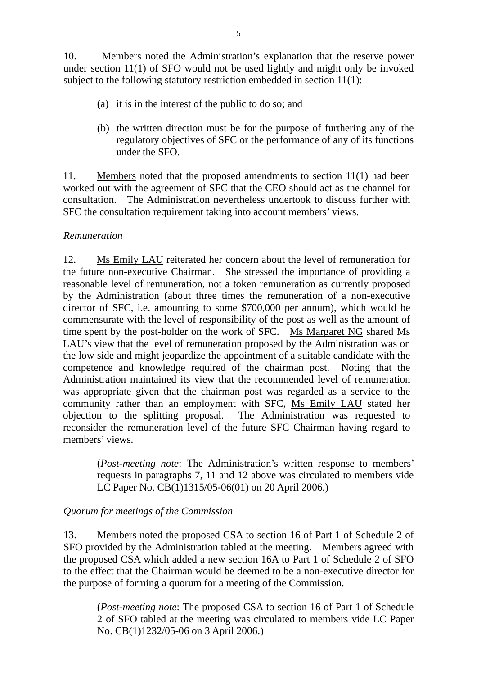10. Members noted the Administration's explanation that the reserve power under section 11(1) of SFO would not be used lightly and might only be invoked subject to the following statutory restriction embedded in section 11(1):

- (a) it is in the interest of the public to do so; and
- (b) the written direction must be for the purpose of furthering any of the regulatory objectives of SFC or the performance of any of its functions under the SFO.

11. Members noted that the proposed amendments to section 11(1) had been worked out with the agreement of SFC that the CEO should act as the channel for consultation. The Administration nevertheless undertook to discuss further with SFC the consultation requirement taking into account members' views.

#### *Remuneration*

12. Ms Emily LAU reiterated her concern about the level of remuneration for the future non-executive Chairman. She stressed the importance of providing a reasonable level of remuneration, not a token remuneration as currently proposed by the Administration (about three times the remuneration of a non-executive director of SFC, i.e. amounting to some \$700,000 per annum), which would be commensurate with the level of responsibility of the post as well as the amount of time spent by the post-holder on the work of SFC. Ms Margaret NG shared Ms LAU's view that the level of remuneration proposed by the Administration was on the low side and might jeopardize the appointment of a suitable candidate with the competence and knowledge required of the chairman post. Noting that the Administration maintained its view that the recommended level of remuneration was appropriate given that the chairman post was regarded as a service to the community rather than an employment with SFC, Ms Emily LAU stated her objection to the splitting proposal. The Administration was requested to reconsider the remuneration level of the future SFC Chairman having regard to members' views.

(*Post-meeting note*: The Administration's written response to members' requests in paragraphs 7, 11 and 12 above was circulated to members vide LC Paper No. CB(1)1315/05-06(01) on 20 April 2006.)

### *Quorum for meetings of the Commission*

13. Members noted the proposed CSA to section 16 of Part 1 of Schedule 2 of SFO provided by the Administration tabled at the meeting. Members agreed with the proposed CSA which added a new section 16A to Part 1 of Schedule 2 of SFO to the effect that the Chairman would be deemed to be a non-executive director for the purpose of forming a quorum for a meeting of the Commission.

(*Post-meeting note*: The proposed CSA to section 16 of Part 1 of Schedule 2 of SFO tabled at the meeting was circulated to members vide LC Paper No. CB(1)1232/05-06 on 3 April 2006.)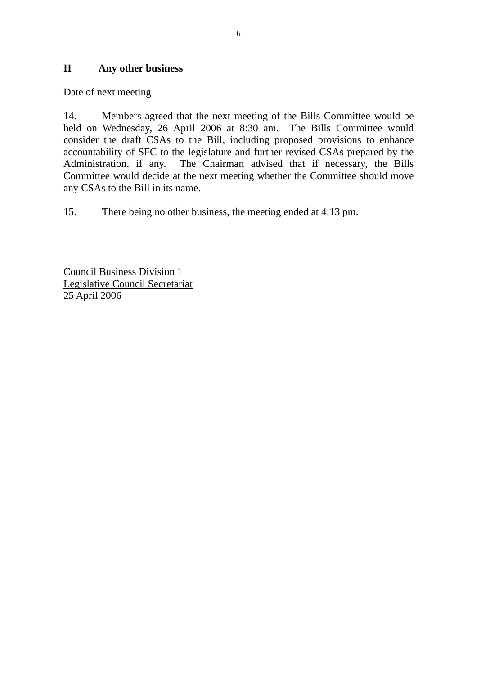### **II Any other business**

### Date of next meeting

14. Members agreed that the next meeting of the Bills Committee would be held on Wednesday, 26 April 2006 at 8:30 am. The Bills Committee would consider the draft CSAs to the Bill, including proposed provisions to enhance accountability of SFC to the legislature and further revised CSAs prepared by the Administration, if any. The Chairman advised that if necessary, the Bills Committee would decide at the next meeting whether the Committee should move any CSAs to the Bill in its name.

15. There being no other business, the meeting ended at 4:13 pm.

Council Business Division 1 Legislative Council Secretariat 25 April 2006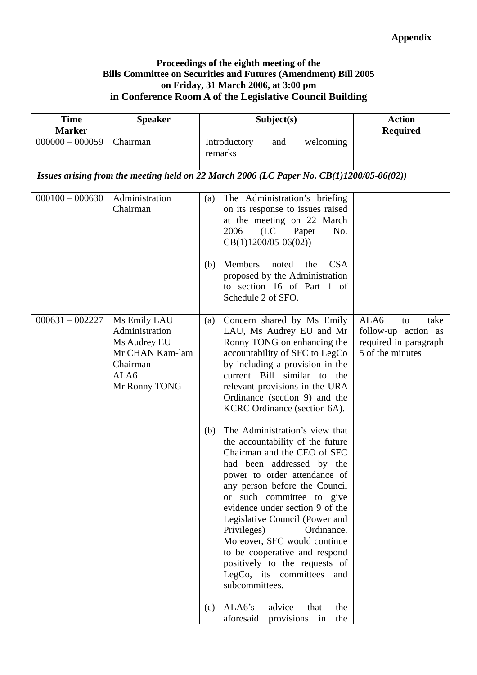#### **Proceedings of the eighth meeting of the Bills Committee on Securities and Futures (Amendment) Bill 2005 on Friday, 31 March 2006, at 3:00 pm in Conference Room A of the Legislative Council Building**

| <b>Time</b><br><b>Marker</b> | <b>Speaker</b>                                                                                         | Subject(s)                                                                                                                                                                                                                                                                                                                                                                                                                                                                                                                                                                                                                                                                                                                                                                                    | <b>Action</b><br><b>Required</b>                                                       |
|------------------------------|--------------------------------------------------------------------------------------------------------|-----------------------------------------------------------------------------------------------------------------------------------------------------------------------------------------------------------------------------------------------------------------------------------------------------------------------------------------------------------------------------------------------------------------------------------------------------------------------------------------------------------------------------------------------------------------------------------------------------------------------------------------------------------------------------------------------------------------------------------------------------------------------------------------------|----------------------------------------------------------------------------------------|
| $000000 - 000059$            | Chairman                                                                                               | welcoming<br>Introductory<br>and<br>remarks                                                                                                                                                                                                                                                                                                                                                                                                                                                                                                                                                                                                                                                                                                                                                   |                                                                                        |
|                              |                                                                                                        | Issues arising from the meeting held on 22 March 2006 (LC Paper No. $CB(1)1200/05-06(02))$                                                                                                                                                                                                                                                                                                                                                                                                                                                                                                                                                                                                                                                                                                    |                                                                                        |
| $000100 - 000630$            | Administration<br>Chairman                                                                             | The Administration's briefing<br>(a)<br>on its response to issues raised<br>at the meeting on 22 March<br>2006<br>(LC)<br>Paper<br>No.<br>$CB(1)1200/05-06(02))$                                                                                                                                                                                                                                                                                                                                                                                                                                                                                                                                                                                                                              |                                                                                        |
|                              |                                                                                                        | <b>Members</b><br>noted<br><b>CSA</b><br>(b)<br>the<br>proposed by the Administration<br>to section 16 of Part 1 of<br>Schedule 2 of SFO.                                                                                                                                                                                                                                                                                                                                                                                                                                                                                                                                                                                                                                                     |                                                                                        |
| $000631 - 002227$            | Ms Emily LAU<br>Administration<br>Ms Audrey EU<br>Mr CHAN Kam-lam<br>Chairman<br>ALA6<br>Mr Ronny TONG | Concern shared by Ms Emily<br>(a)<br>LAU, Ms Audrey EU and Mr<br>Ronny TONG on enhancing the<br>accountability of SFC to LegCo<br>by including a provision in the<br>current Bill similar to the<br>relevant provisions in the URA<br>Ordinance (section 9) and the<br>KCRC Ordinance (section 6A).<br>The Administration's view that<br>(b)<br>the accountability of the future<br>Chairman and the CEO of SFC<br>had been addressed by the<br>power to order attendance of<br>any person before the Council<br>or such committee to give<br>evidence under section 9 of the<br>Legislative Council (Power and<br>Ordinance.<br>Privileges)<br>Moreover, SFC would continue<br>to be cooperative and respond<br>positively to the requests of<br>LegCo, its committees and<br>subcommittees. | ALA6<br>take<br>to<br>follow-up action as<br>required in paragraph<br>5 of the minutes |
|                              |                                                                                                        | advice<br>ALA6's<br>that<br>the<br>(c)<br>aforesaid<br>the<br>provisions in                                                                                                                                                                                                                                                                                                                                                                                                                                                                                                                                                                                                                                                                                                                   |                                                                                        |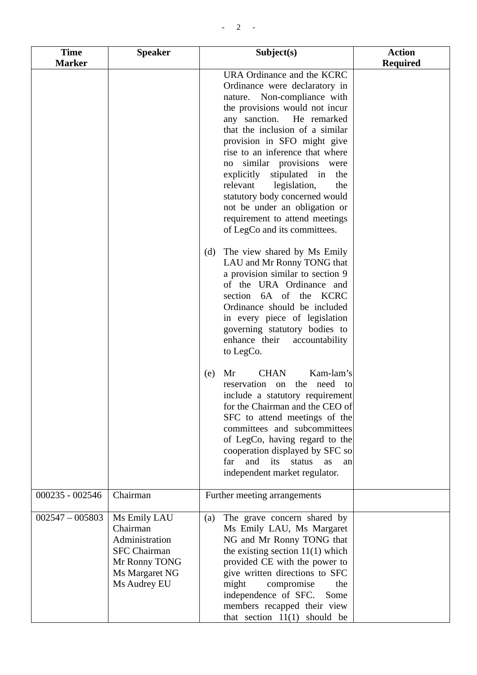| <b>Time</b><br><b>Marker</b> | <b>Speaker</b>                                                                                                       | Subject(s)                                                                                                                                                                                                                                                                                                                                                                                                                                                                                                       | <b>Action</b><br><b>Required</b> |
|------------------------------|----------------------------------------------------------------------------------------------------------------------|------------------------------------------------------------------------------------------------------------------------------------------------------------------------------------------------------------------------------------------------------------------------------------------------------------------------------------------------------------------------------------------------------------------------------------------------------------------------------------------------------------------|----------------------------------|
|                              |                                                                                                                      | URA Ordinance and the KCRC<br>Ordinance were declaratory in<br>nature. Non-compliance with<br>the provisions would not incur<br>any sanction.<br>He remarked<br>that the inclusion of a similar<br>provision in SFO might give<br>rise to an inference that where<br>similar provisions were<br>no<br>explicitly<br>stipulated in<br>the<br>relevant<br>legislation,<br>the<br>statutory body concerned would<br>not be under an obligation or<br>requirement to attend meetings<br>of LegCo and its committees. |                                  |
|                              |                                                                                                                      | The view shared by Ms Emily<br>(d)<br>LAU and Mr Ronny TONG that<br>a provision similar to section 9<br>of the URA Ordinance and<br>section 6A of the KCRC<br>Ordinance should be included<br>in every piece of legislation<br>governing statutory bodies to<br>enhance their<br>accountability<br>to LegCo.                                                                                                                                                                                                     |                                  |
|                              |                                                                                                                      | Kam-lam's<br>Mr<br><b>CHAN</b><br>(e)<br>the need to<br>reservation on<br>include a statutory requirement<br>for the Chairman and the CEO of<br>SFC to attend meetings of the<br>committees and subcommittees<br>of LegCo, having regard to the<br>cooperation displayed by SFC so<br>and<br>far<br>its<br>status<br>as<br>an<br>independent market regulator.                                                                                                                                                   |                                  |
| $000235 - 002546$            | Chairman                                                                                                             | Further meeting arrangements                                                                                                                                                                                                                                                                                                                                                                                                                                                                                     |                                  |
| $002547 - 005803$            | Ms Emily LAU<br>Chairman<br>Administration<br><b>SFC</b> Chairman<br>Mr Ronny TONG<br>Ms Margaret NG<br>Ms Audrey EU | The grave concern shared by<br>(a)<br>Ms Emily LAU, Ms Margaret<br>NG and Mr Ronny TONG that<br>the existing section $11(1)$ which<br>provided CE with the power to<br>give written directions to SFC<br>might<br>compromise<br>the<br>independence of SFC.<br>Some<br>members recapped their view<br>that section $11(1)$ should be                                                                                                                                                                             |                                  |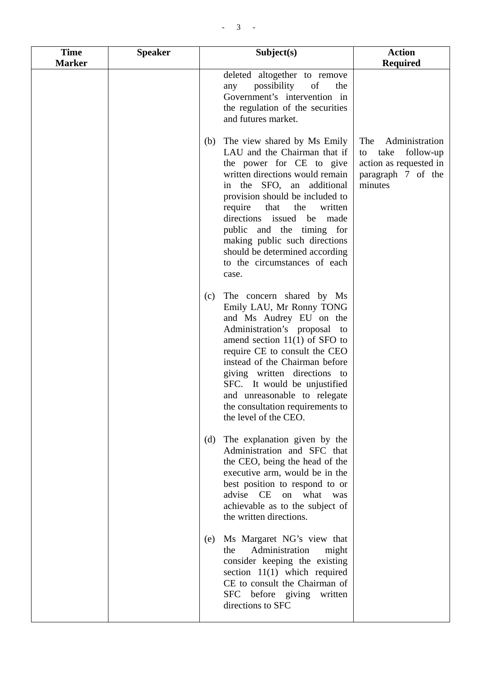| <b>Time</b><br><b>Marker</b> | <b>Speaker</b> | Subject(s)                                                                                                                                                                                                                                                                                                                                                                                                         | <b>Action</b><br><b>Required</b>                                                                            |
|------------------------------|----------------|--------------------------------------------------------------------------------------------------------------------------------------------------------------------------------------------------------------------------------------------------------------------------------------------------------------------------------------------------------------------------------------------------------------------|-------------------------------------------------------------------------------------------------------------|
|                              |                | deleted altogether to remove<br>possibility<br>$\circ$ of<br>any<br>the<br>Government's intervention in<br>the regulation of the securities<br>and futures market.                                                                                                                                                                                                                                                 |                                                                                                             |
|                              |                | The view shared by Ms Emily<br>(b)<br>LAU and the Chairman that if<br>the power for CE to give<br>written directions would remain<br>in the SFO, an additional<br>provision should be included to<br>the<br>require<br>that<br>written<br>directions issued<br>be<br>made<br>public and the timing for<br>making public such directions<br>should be determined according<br>to the circumstances of each<br>case. | The<br>Administration<br>take<br>follow-up<br>to<br>action as requested in<br>paragraph 7 of the<br>minutes |
|                              |                | The concern shared by Ms<br>(c)<br>Emily LAU, Mr Ronny TONG<br>and Ms Audrey EU on the<br>Administration's proposal to<br>amend section $11(1)$ of SFO to<br>require CE to consult the CEO<br>instead of the Chairman before<br>giving written directions to<br>SFC. It would be unjustified<br>and unreasonable to relegate<br>the consultation requirements to<br>the level of the CEO.                          |                                                                                                             |
|                              |                | The explanation given by the<br>(d)<br>Administration and SFC that<br>the CEO, being the head of the<br>executive arm, would be in the<br>best position to respond to or<br>advise CE on what was<br>achievable as to the subject of<br>the written directions.                                                                                                                                                    |                                                                                                             |
|                              |                | Ms Margaret NG's view that<br>(e)<br>Administration<br>the<br>might<br>consider keeping the existing<br>section $11(1)$ which required<br>CE to consult the Chairman of<br>SFC before giving written<br>directions to SFC                                                                                                                                                                                          |                                                                                                             |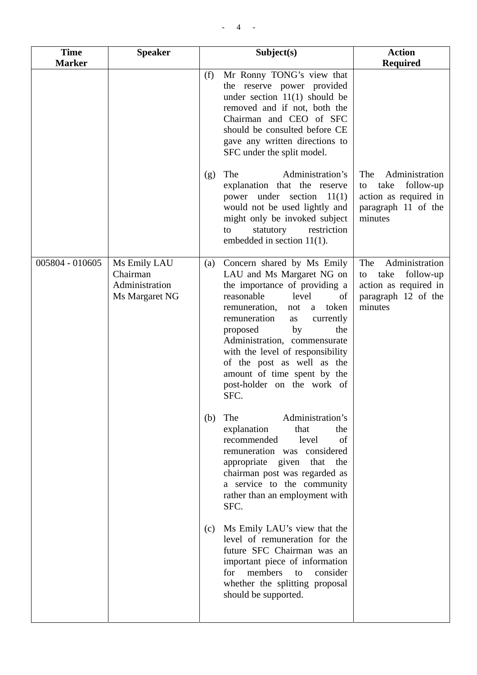| <b>Time</b><br><b>Marker</b> | <b>Speaker</b>                                               | Subject(s)                                                                                                                                                                                                                                                                                                                                                                                            | <b>Action</b><br><b>Required</b>                                                                            |
|------------------------------|--------------------------------------------------------------|-------------------------------------------------------------------------------------------------------------------------------------------------------------------------------------------------------------------------------------------------------------------------------------------------------------------------------------------------------------------------------------------------------|-------------------------------------------------------------------------------------------------------------|
|                              |                                                              | Mr Ronny TONG's view that<br>(f)<br>the reserve power provided<br>under section $11(1)$ should be<br>removed and if not, both the<br>Chairman and CEO of SFC<br>should be consulted before CE<br>gave any written directions to<br>SFC under the split model.                                                                                                                                         |                                                                                                             |
|                              |                                                              | Administration's<br>The<br>(g)<br>explanation that the reserve<br>power under section $11(1)$<br>would not be used lightly and<br>might only be invoked subject<br>restriction<br>statutory<br>to<br>embedded in section 11(1).                                                                                                                                                                       | Administration<br>The<br>take<br>follow-up<br>to<br>action as required in<br>paragraph 11 of the<br>minutes |
| 005804 - 010605              | Ms Emily LAU<br>Chairman<br>Administration<br>Ms Margaret NG | Concern shared by Ms Emily<br>(a)<br>LAU and Ms Margaret NG on<br>the importance of providing a<br>reasonable<br>level<br>of<br>token<br>remuneration,<br>not<br>a<br>remuneration<br>currently<br>as<br>by<br>proposed<br>the<br>Administration, commensurate<br>with the level of responsibility<br>of the post as well as the<br>amount of time spent by the<br>post-holder on the work of<br>SFC. | Administration<br>The<br>take<br>follow-up<br>to<br>action as required in<br>paragraph 12 of the<br>minutes |
|                              |                                                              | Administration's<br>The<br>(b)<br>explanation<br>that<br>the<br>recommended<br>level<br>of<br>remuneration was considered<br>appropriate given<br>that<br>the<br>chairman post was regarded as<br>a service to the community<br>rather than an employment with<br>SFC.                                                                                                                                |                                                                                                             |
|                              |                                                              | Ms Emily LAU's view that the<br>(c)<br>level of remuneration for the<br>future SFC Chairman was an<br>important piece of information<br>members<br>for<br>consider<br>to<br>whether the splitting proposal<br>should be supported.                                                                                                                                                                    |                                                                                                             |